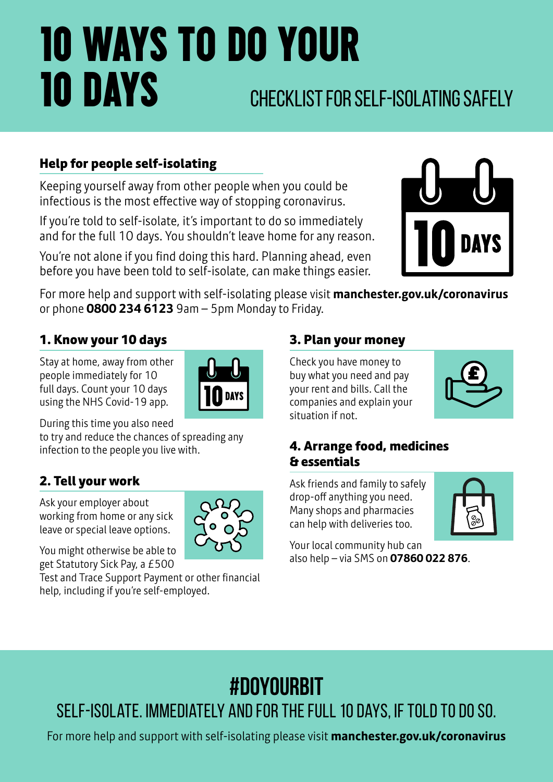# 10 WAYS TO DO YOUR **10 DAYS** CHECKLIST FOR SELF-ISOLATING SAFELY

### **Help for people self-isolating**

Keeping yourself away from other people when you could be infectious is the most effective way of stopping coronavirus.

If you're told to self-isolate, it's important to do so immediately and for the full 10 days. You shouldn't leave home for any reason.

You're not alone if you find doing this hard. Planning ahead, even before you have been told to self-isolate, can make things easier.



For more help and support with self-isolating please visit **manchester.gov.uk/coronavirus** or phone **0800 234 6123** 9am – 5pm Monday to Friday.

### **1. Know your 10 days**

Stay at home, away from other people immediately for 10 full days. Count your 10 days using the NHS Covid-19 app.



During this time you also need

to try and reduce the chances of spreading any infection to the people you live with.

### **2. Tell your work**

Ask your employer about working from home or any sick leave or special leave options.



You might otherwise be able to get Statutory Sick Pay, a £500

Test and Trace Support Payment or other financial help, including if you're self-employed.

### **3. Plan your money**

Check you have money to buy what you need and pay your rent and bills. Call the companies and explain your situation if not.



### **4. Arrange food, medicines & essentials**

Ask friends and family to safely drop-off anything you need. Many shops and pharmacies can help with deliveries too.



Your local community hub can also help – via SMS on **07860 022 876**.

## **#DoYourBit**

Self-isolate. Immediately and for the full 10 days, if told to do so.

For more help and support with self-isolating please visit **manchester.gov.uk/coronavirus**